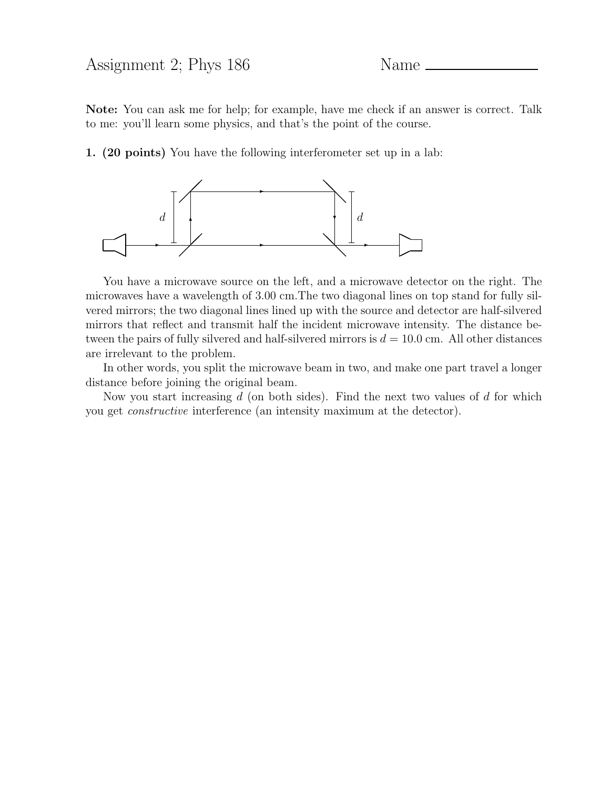## Assignment 2; Phys 186 Name

Note: You can ask me for help; for example, have me check if an answer is correct. Talk to me: you'll learn some physics, and that's the point of the course.

1. (20 points) You have the following interferometer set up in a lab:



You have a microwave source on the left, and a microwave detector on the right. The microwaves have a wavelength of 3.00 cm.The two diagonal lines on top stand for fully silvered mirrors; the two diagonal lines lined up with the source and detector are half-silvered mirrors that reflect and transmit half the incident microwave intensity. The distance between the pairs of fully silvered and half-silvered mirrors is  $d = 10.0$  cm. All other distances are irrelevant to the problem.

In other words, you split the microwave beam in two, and make one part travel a longer distance before joining the original beam.

Now you start increasing  $d$  (on both sides). Find the next two values of  $d$  for which you get constructive interference (an intensity maximum at the detector).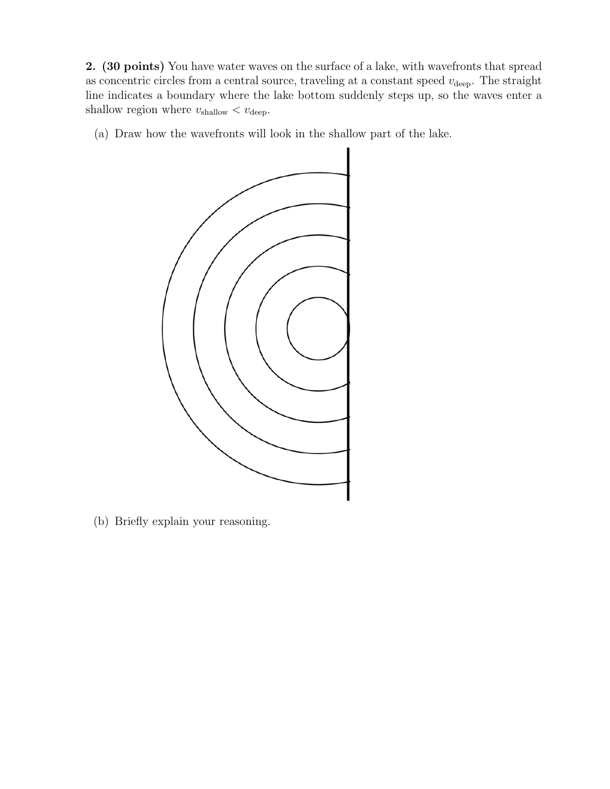2. (30 points) You have water waves on the surface of a lake, with wavefronts that spread as concentric circles from a central source, traveling at a constant speed  $v_{\text{deep}}$ . The straight line indicates a boundary where the lake bottom suddenly steps up, so the waves enter a shallow region where  $v_{\text{shallow}} < v_{\text{deep}}$ .

(a) Draw how the wavefronts will look in the shallow part of the lake.



(b) Briefly explain your reasoning.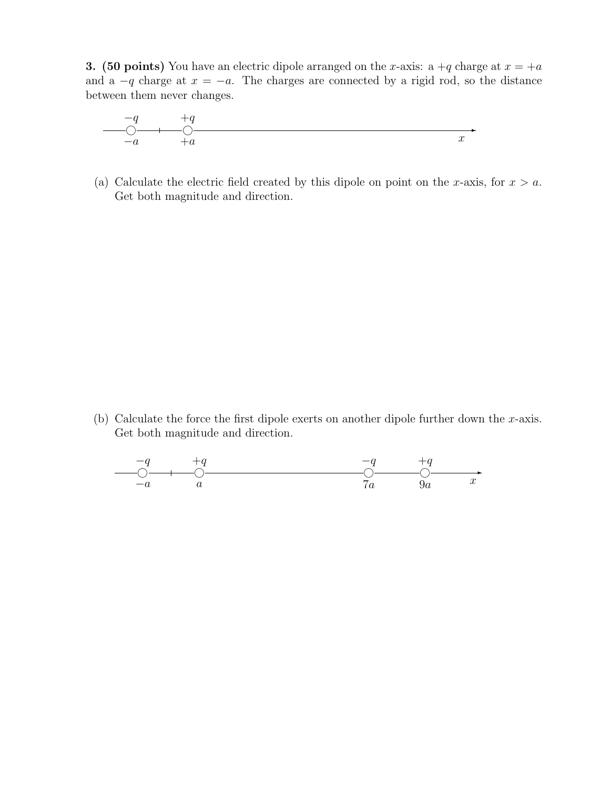**3.** (50 points) You have an electric dipole arranged on the x-axis: a  $+q$  charge at  $x = +a$ and a  $-q$  charge at  $x = -a$ . The charges are connected by a rigid rod, so the distance between them never changes.

$$
\begin{array}{c}\n-q \\
\hline\n0 \\
-a \\
\hline\n\end{array}
$$

(a) Calculate the electric field created by this dipole on point on the x-axis, for  $x > a$ . Get both magnitude and direction.

(b) Calculate the force the first dipole exerts on another dipole further down the  $x$ -axis. Get both magnitude and direction.